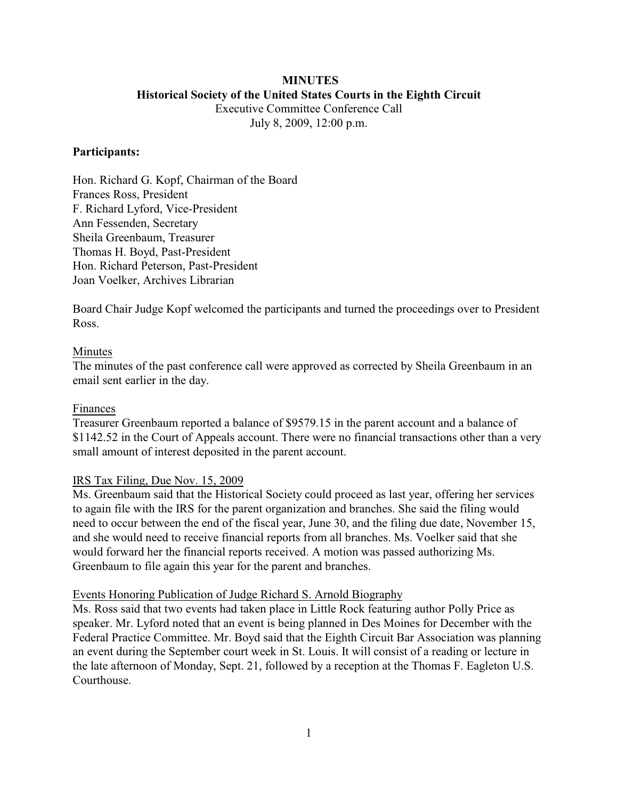# **MINUTES Historical Society of the United States Courts in the Eighth Circuit**

Executive Committee Conference Call July 8, 2009, 12:00 p.m.

## **Participants:**

Hon. Richard G. Kopf, Chairman of the Board Frances Ross, President F. Richard Lyford, Vice-President Ann Fessenden, Secretary Sheila Greenbaum, Treasurer Thomas H. Boyd, Past-President Hon. Richard Peterson, Past-President Joan Voelker, Archives Librarian

Board Chair Judge Kopf welcomed the participants and turned the proceedings over to President Ross.

## Minutes

The minutes of the past conference call were approved as corrected by Sheila Greenbaum in an email sent earlier in the day.

#### Finances

Treasurer Greenbaum reported a balance of \$9579.15 in the parent account and a balance of \$1142.52 in the Court of Appeals account. There were no financial transactions other than a very small amount of interest deposited in the parent account.

# IRS Tax Filing, Due Nov. 15, 2009

Ms. Greenbaum said that the Historical Society could proceed as last year, offering her services to again file with the IRS for the parent organization and branches. She said the filing would need to occur between the end of the fiscal year, June 30, and the filing due date, November 15, and she would need to receive financial reports from all branches. Ms. Voelker said that she would forward her the financial reports received. A motion was passed authorizing Ms. Greenbaum to file again this year for the parent and branches.

#### Events Honoring Publication of Judge Richard S. Arnold Biography

Ms. Ross said that two events had taken place in Little Rock featuring author Polly Price as speaker. Mr. Lyford noted that an event is being planned in Des Moines for December with the Federal Practice Committee. Mr. Boyd said that the Eighth Circuit Bar Association was planning an event during the September court week in St. Louis. It will consist of a reading or lecture in the late afternoon of Monday, Sept. 21, followed by a reception at the Thomas F. Eagleton U.S. **Courthouse**